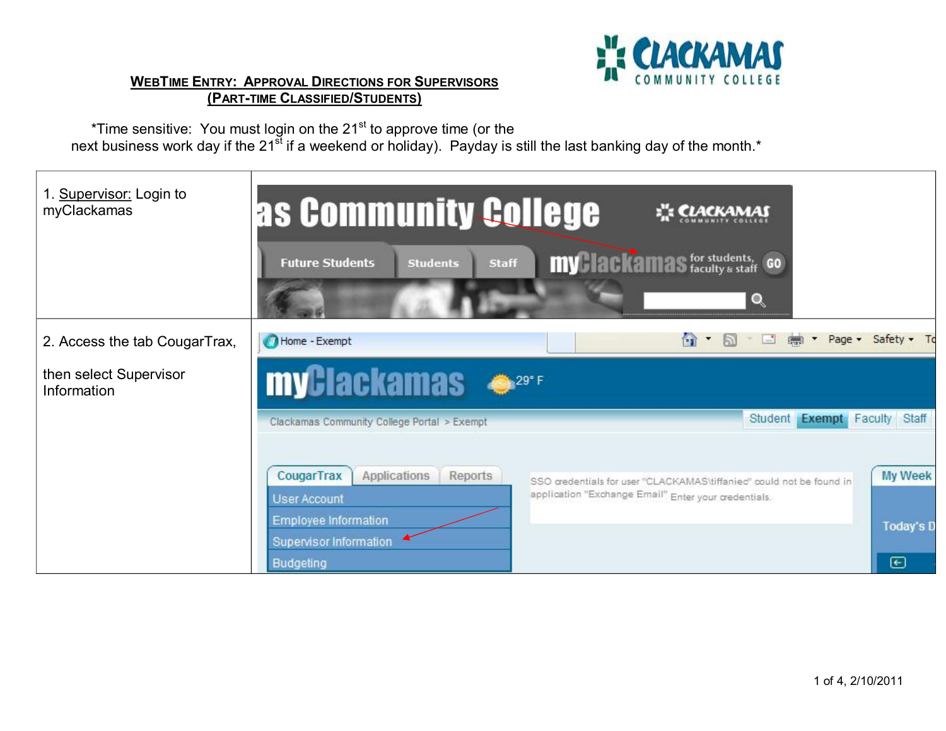

## **WEBTIME ENTRY: APPROVAL DIRECTIONS FOR SUPERVISORS (PARTTIME CLASSIFIED/STUDENTS)**

\*Time sensitive: You must login on the 21 $\mathrm{^{st}}$  to approve time (or the next business work day if the 21<sup>st</sup> if a weekend or holiday). Payday is still the last banking day of the month.\*

| 1. Supervisor: Login to<br>myClackamas | as Community College                                         |                                                                                                                              | <b>ELACKAMAS</b>                                    |                            |                                             |
|----------------------------------------|--------------------------------------------------------------|------------------------------------------------------------------------------------------------------------------------------|-----------------------------------------------------|----------------------------|---------------------------------------------|
|                                        | <b>Staff</b><br><b>Future Students</b><br><b>Students</b>    |                                                                                                                              | <b>my lackamas</b> for students, GO<br>$\mathbf{Q}$ |                            |                                             |
| 2. Access the tab CougarTrax,          | Home - Exempt                                                |                                                                                                                              | $\left  - \right $<br>m                             | Page -<br>$F_{\text{max}}$ | $Safe$ tv $\bullet$ To                      |
| then select Supervisor<br>Information  | <b>myClackamas</b>                                           |                                                                                                                              |                                                     |                            |                                             |
|                                        | Clackamas Community College Portal > Exempt                  |                                                                                                                              |                                                     |                            | Student Exempt Faculty Staff                |
|                                        | CougarTrax<br>Applications<br>Reports<br><b>User Account</b> | SSO gredentials for user "CLACKAMAS\tiffanied" could not be found in<br>application "Exchange Email" Enter your credentials. |                                                     | My Week                    |                                             |
|                                        | Employee Information<br>Supervisor Information<br>Budgeting  |                                                                                                                              |                                                     |                            | <b>Today's D</b><br>$\boldsymbol{\epsilon}$ |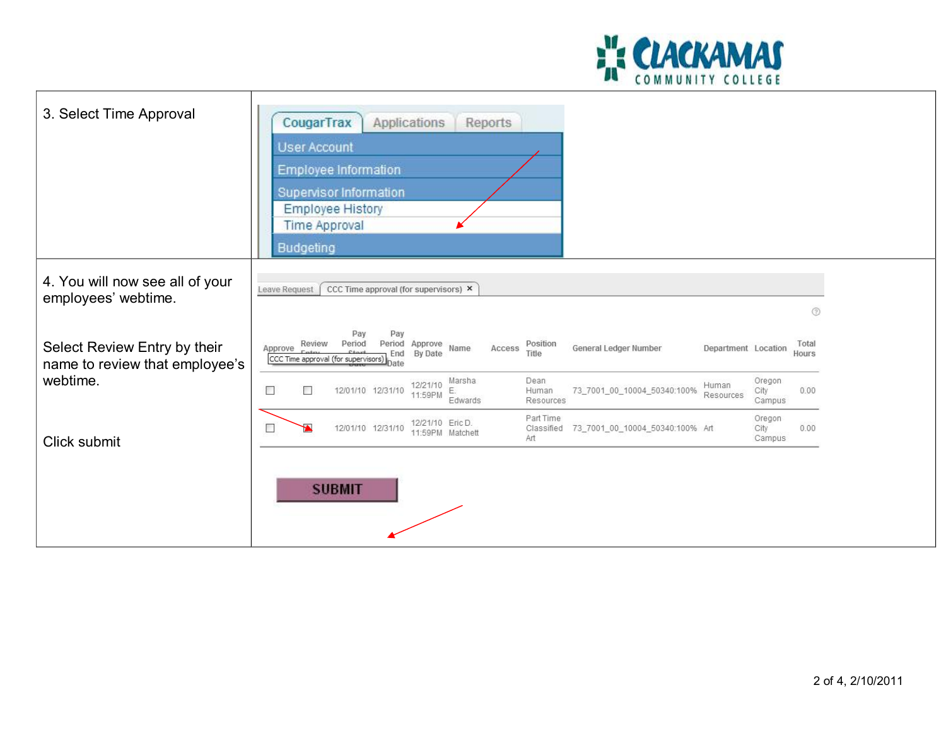

| 3. Select Time Approval                                        | CougarTrax<br>Applications<br>Reports<br><b>User Account</b><br>Employee Information<br>Supervisor Information<br><b>Employee History</b><br><b>Time Approval</b><br><b>Budgeting</b>           |                                               |
|----------------------------------------------------------------|-------------------------------------------------------------------------------------------------------------------------------------------------------------------------------------------------|-----------------------------------------------|
| 4. You will now see all of your<br>employees' webtime.         | Leave Request<br>CCC Time approval (for supervisors) X                                                                                                                                          | ◎                                             |
| Select Review Entry by their<br>name to review that employee's | Pay<br>Pay<br>Review<br>Period<br>Approve<br>Position<br>Period<br>General Ledger Number<br>Name<br>Approve<br>Access<br>By Date<br>End<br>Title<br>CCC Time approval (for supervisors)<br>)ate | Total<br>Department Location<br>Hours         |
| webtime.                                                       | Dean<br>Marsha<br>12/21/10<br>Human<br>Е<br>12/01/10 12/31/10<br>73_7001_00_10004_50340:100%<br>П<br>Human<br>Е.<br>11:59PM<br>Edwards<br>Resources                                             | Oregon<br>City<br>0.00<br>Resources<br>Campus |
| Click submit                                                   | Part Time<br>12/21/10 Eric D.<br>12/01/10 12/31/10<br>$\Box$<br>73_7001_00_10004_50340:100% Art<br>Classified<br>11:59PM Matchett<br>Art                                                        | Oregon<br>City<br>0.00<br>Campus              |
|                                                                | <b>SUBMIT</b>                                                                                                                                                                                   |                                               |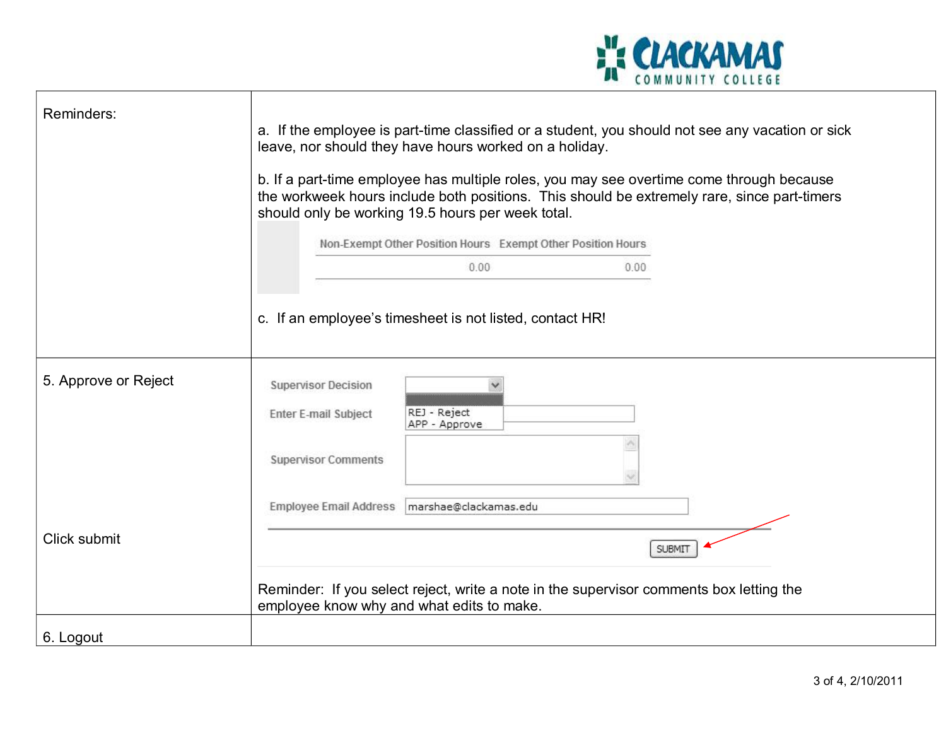

| Reminders:           | a. If the employee is part-time classified or a student, you should not see any vacation or sick<br>leave, nor should they have hours worked on a holiday.<br>b. If a part-time employee has multiple roles, you may see overtime come through because<br>the workweek hours include both positions. This should be extremely rare, since part-timers<br>should only be working 19.5 hours per week total.<br>Non-Exempt Other Position Hours Exempt Other Position Hours |  |  |
|----------------------|---------------------------------------------------------------------------------------------------------------------------------------------------------------------------------------------------------------------------------------------------------------------------------------------------------------------------------------------------------------------------------------------------------------------------------------------------------------------------|--|--|
|                      | 0.00<br>0.00                                                                                                                                                                                                                                                                                                                                                                                                                                                              |  |  |
|                      | c. If an employee's timesheet is not listed, contact HR!                                                                                                                                                                                                                                                                                                                                                                                                                  |  |  |
| 5. Approve or Reject | <b>Supervisor Decision</b><br>REJ - Reject<br><b>Enter E-mail Subject</b><br>APP - Approve                                                                                                                                                                                                                                                                                                                                                                                |  |  |
|                      | <b>Supervisor Comments</b>                                                                                                                                                                                                                                                                                                                                                                                                                                                |  |  |
|                      | Employee Email Address   marshae@clackamas.edu                                                                                                                                                                                                                                                                                                                                                                                                                            |  |  |
| Click submit         | <b>SUBMIT</b>                                                                                                                                                                                                                                                                                                                                                                                                                                                             |  |  |
|                      | Reminder: If you select reject, write a note in the supervisor comments box letting the<br>employee know why and what edits to make.                                                                                                                                                                                                                                                                                                                                      |  |  |
| 6. Logout            |                                                                                                                                                                                                                                                                                                                                                                                                                                                                           |  |  |